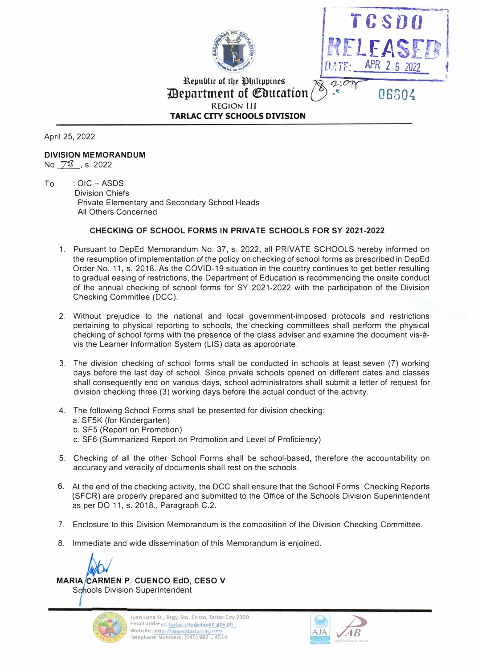



**Republic of the Philippines**  $\vec{\chi}$  2:07 *<u>Devartment of Education</u>* **REGION Ill TARLAC CITY SCHOOLS DIVISION** 

April 25, 2022

#### **DIVISION MEMORANDUM**  No  $73$ , s. 2022

To : OIC - ASDS Division Chiefs Private Elementary and Secondary School Heads All Others Concerned

### **CHECKING OF SCHOOL FORMS IN PRIVATE SCHOOLS FOR SY 2021-2022**

- 1. Pursuant to DepEd Memorandum No. 37, s. 2022, all PRIVATE SCHOOLS hereby informed on the resumption of implementation of the policy on checking of school forms as prescribed in DepEd Order No. 11, s. 2018. As the COVID-19 situation in the country continues to get better resulting to gradual easing of restrictions, the Department of Education is recommencing the onsite conduct of the annual checking of school forms for SY 2021-2022 with the participation of the Division Checking Committee (DCC).
- 2. Without prejudice to the national and local government-imposed protocols and restrictions pertaining to physical reporting to schools, the checking committees shall perform the physical checking of school forms with the presence of the class adviser and examine the document vis-avis the Learner Information System (LIS) data as appropriate.
- 3. The division checking of school forms shall be conducted in schools at least seven (7) working days before the last day of school. Since private schools opened on different dates and classes shall consequently end on various days, school administrators shall submit a letter of request for division checking three (3) working days before the actual conduct of the activity.
- 4. The following School Forms shall be presented for division checking:
	- a. SF5K (for Kindergarten)
	- b. SF5 (Report on Promotion)
	- c. SF6 (Summarized Report on Promotion and Level of Proficiency)
- 5. Checking of all the other School Forms shall be school-based, therefore the accountability on accuracy and veracity of documents shall rest on the schools.
- 6. At the end of the checking activity, the DCC shall ensure that the School Forms Checking Reports (SFCR) are properly prepared and submitted to the Office of the Schools Division Superintendent as per DO 11, s. 2018., Paragraph C.2.
- 7. Enclosure to this Division Memorandum is the composition of the Division Checking Committee.
- 8. Immediate and wide dissemination of this Memorandum is enjoined.

**MARIA CARMEN P. CUENCO EdD, CESO V** 

Schools Division Superintendent